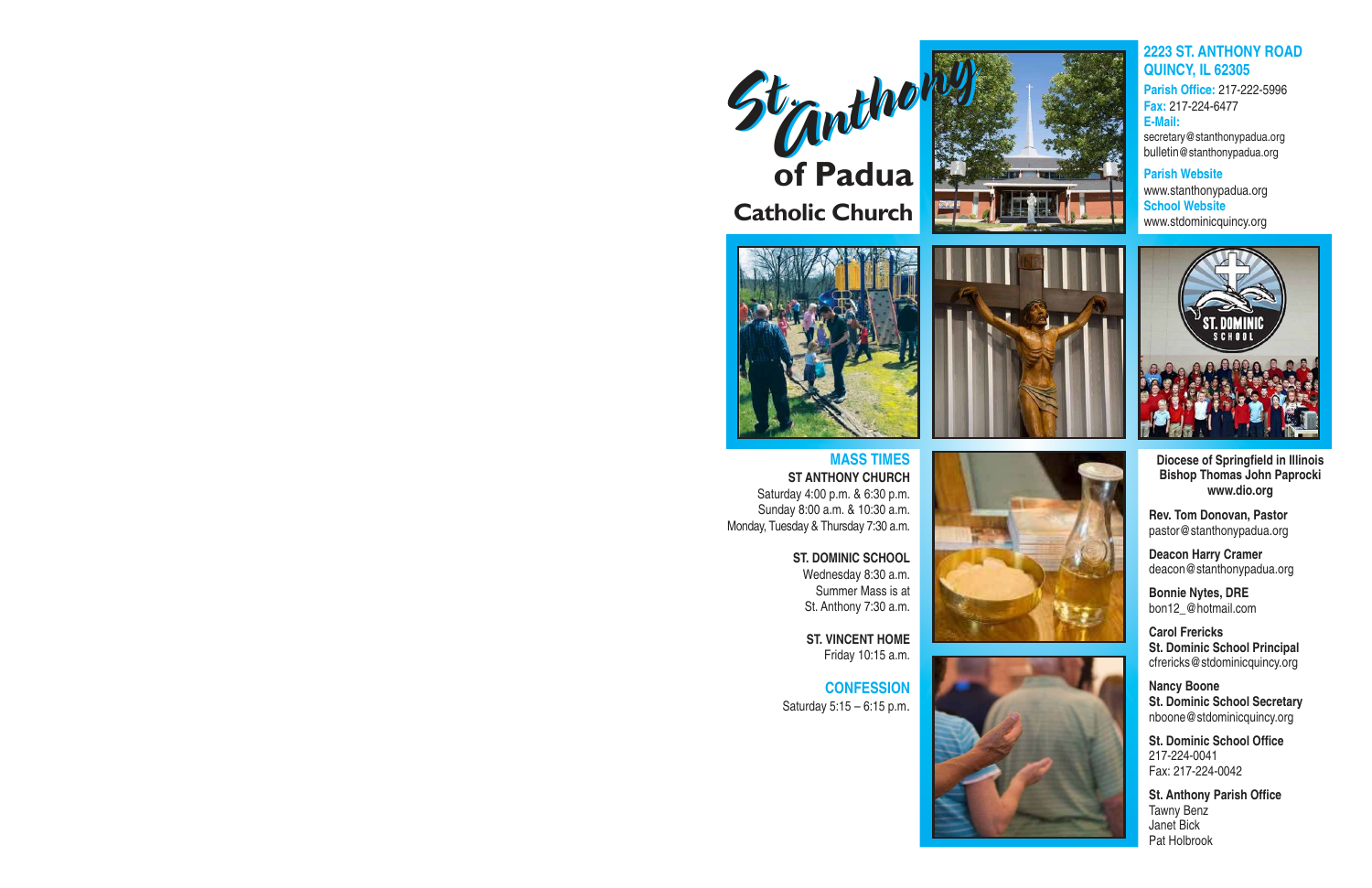



**MASS TIMES ST ANTHONY CHURCH** Saturday 4:00 p.m. & 6:30 p.m. Sunday 8:00 a.m. & 10:30 a.m. Monday, Tuesday & Thursday 7:30 a.m.

> **ST. DOMINIC SCHOOL** Wednesday 8:30 a.m. Summer Mass is at St. Anthony 7:30 a.m.

> > **ST. VINCENT HOME** Friday 10:15 a.m.

**CONFESSION** Saturday 5:15 – 6:15 p.m.









## **2223 ST. ANTHONY ROAD QUINCY, IL 62305**

**Parish Office:** 217-222-5996 **Fax:** 217-224-6477 **E-Mail:** secretary@stanthonypadua.org bulletin@stanthonypadua.org

**Parish Website** www.stanthonypadua.org **School Website** www.stdominicquincy.org



**Diocese of Springfield in Illinois Bishop Thomas John Paprocki www.dio.org** 

**Rev. Tom Donovan, Pastor** pastor@stanthonypadua.org

**Deacon Harry Cramer** deacon@stanthonypadua.org

**Bonnie Nytes, DRE** bon12\_@hotmail.com

**Carol Frericks St. Dominic School Principal** cfrericks@stdominicquincy.org

**Nancy Boone St. Dominic School Secretary** nboone@stdominicquincy.org

**St. Dominic School Office** 217-224-0041 Fax: 217-224-0042

**St. Anthony Parish Office** Tawny Benz Janet Bick Pat Holbrook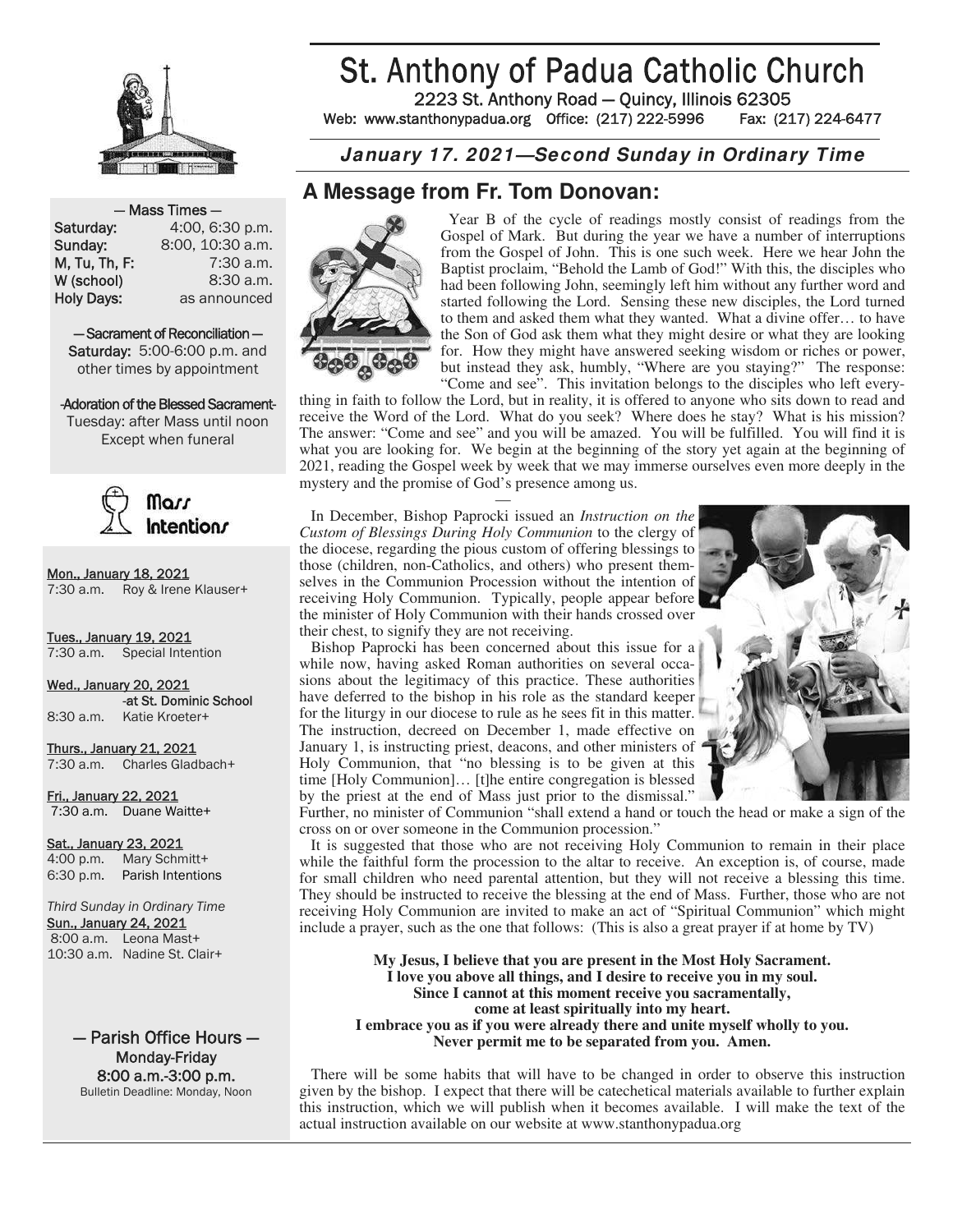

# St. Anthony of Padua Catholic Church

2223 St. Anthony Road — Quincy, Illinois 62305 Web: www.stanthonypadua.org Office: (217) 222-5996 Fax: (217) 224-6477

### **January 17. 2021—Second Sunday in Ordinary Time**

## **A Message from Fr. Tom Donovan:**



 Year B of the cycle of readings mostly consist of readings from the Gospel of Mark. But during the year we have a number of interruptions from the Gospel of John. This is one such week. Here we hear John the Baptist proclaim, "Behold the Lamb of God!" With this, the disciples who had been following John, seemingly left him without any further word and started following the Lord. Sensing these new disciples, the Lord turned to them and asked them what they wanted. What a divine offer… to have the Son of God ask them what they might desire or what they are looking for. How they might have answered seeking wisdom or riches or power, but instead they ask, humbly, "Where are you staying?" The response: "Come and see". This invitation belongs to the disciples who left every-

thing in faith to follow the Lord, but in reality, it is offered to anyone who sits down to read and receive the Word of the Lord. What do you seek? Where does he stay? What is his mission? The answer: "Come and see" and you will be amazed. You will be fulfilled. You will find it is what you are looking for. We begin at the beginning of the story yet again at the beginning of 2021, reading the Gospel week by week that we may immerse ourselves even more deeply in the mystery and the promise of God's presence among us.

 $\sim$   $-$  In December, Bishop Paprocki issued an *Instruction on the Custom of Blessings During Holy Communion* to the clergy of the diocese, regarding the pious custom of offering blessings to those (children, non-Catholics, and others) who present themselves in the Communion Procession without the intention of receiving Holy Communion. Typically, people appear before the minister of Holy Communion with their hands crossed over their chest, to signify they are not receiving.

 Bishop Paprocki has been concerned about this issue for a while now, having asked Roman authorities on several occasions about the legitimacy of this practice. These authorities have deferred to the bishop in his role as the standard keeper for the liturgy in our diocese to rule as he sees fit in this matter. The instruction, decreed on December 1, made effective on January 1, is instructing priest, deacons, and other ministers of Holy Communion, that "no blessing is to be given at this time [Holy Communion]… [t]he entire congregation is blessed by the priest at the end of Mass just prior to the dismissal."



Further, no minister of Communion "shall extend a hand or touch the head or make a sign of the cross on or over someone in the Communion procession."

 It is suggested that those who are not receiving Holy Communion to remain in their place while the faithful form the procession to the altar to receive. An exception is, of course, made for small children who need parental attention, but they will not receive a blessing this time. They should be instructed to receive the blessing at the end of Mass. Further, those who are not receiving Holy Communion are invited to make an act of "Spiritual Communion" which might include a prayer, such as the one that follows: (This is also a great prayer if at home by TV)

**My Jesus, I believe that you are present in the Most Holy Sacrament. I love you above all things, and I desire to receive you in my soul. Since I cannot at this moment receive you sacramentally, come at least spiritually into my heart. I embrace you as if you were already there and unite myself wholly to you. Never permit me to be separated from you. Amen.** 

 There will be some habits that will have to be changed in order to observe this instruction given by the bishop. I expect that there will be catechetical materials available to further explain this instruction, which we will publish when it becomes available. I will make the text of the actual instruction available on our website at www.stanthonypadua.org

#### — Mass Times —

Saturday: 4:00, 6:30 p.m. **Sunday:** 8:00, 10:30 a.m. **M, Tu, Th, F:** 7:30 a.m. W (school) 8:30 a.m. Holy Days: as announced 15:00, 6:30 p.m.<br>
19:00, 10:30 a.m.<br>
19:00, 10:30 a.m.<br>
19:30 a.m.<br>
19:30 a.m.<br>
19:30 a.m.<br>
19:30 a.m.<br>
19:30 a.m.<br>
19:30 a.m.<br>
19:30 a.m.<br>
19:30 a.m.<br>
19:30 a.m.<br>
19:30 a.m.<br>
19:30 a.m.<br>
19:30 a.m.<br>
19:30 a.m.<br>
19:30 a.m.

— Sacrament of Reconciliation other times by appointment

-Adoration of the Blessed Sacrament-Tuesday: after Mass until noon, Tuesday: after Mass until noon Except when funeral Except when funeral



<u>Mon., January 18, 2021</u> 7:30 a.m. Roy & Irene Klauser+

<u>Tues., January 19, 2021</u> 7:30 a.m. Special Intention

Wed., January 20, 2021 **Assessment Control Control Control Control Control Control Control Control Control Control Control Control Control Control Control Control Control Control Control Control Control Control Control Control Control Control Co** 8:30 a.m. Katie Kroeter+

 Thurs., January 21, 2021 7:30 a.m. Charles Gladbach+

<u>Fri., January 22, 2021</u> 7:30 a.m. Duane Waitte+

<u>Sat., January 23, 2021</u> 4:00 p.m. Mary Schmitt+ 6:30 p.m. Parish Intentions

**Third Sunday in Ordinary Time** Sun., January 24, 2021 8:00 a.m. Leona Mast+ 10:30 a.m. Nadine St. Clair+

> — Parish Office Hours — Monday-Friday 8:00 a.m.-3:00 p.m. Bulletin Deadline: Monday, Noon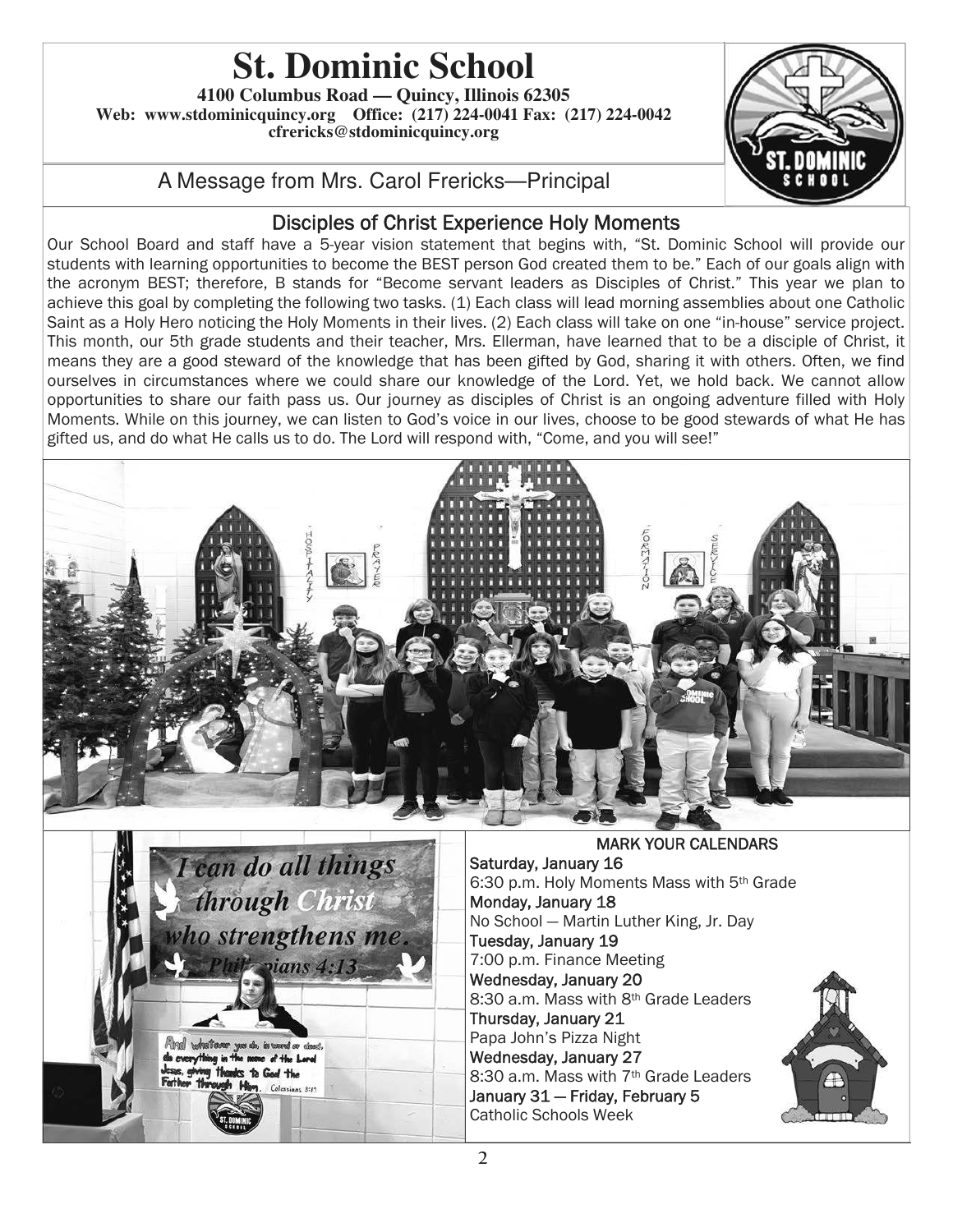# **St. Dominic School**

**4100 Columbus Road — Quincy, Illinois 62305 Web: www.stdominicquincy.org Office: (217) 224-0041 Fax: (217) 224-0042 cfrericks@stdominicquincy.org** 



## A Message from Mrs. Carol Frericks—Principal

## Disciples of Christ Experience Holy Moments

Our School Board and staff have a 5-year vision statement that begins with, "St. Dominic School will provide our students with learning opportunities to become the BEST person God created them to be." Each of our goals align with the acronym BEST; therefore, B stands for "Become servant leaders as Disciples of Christ." This year we plan to achieve this goal by completing the following two tasks. (1) Each class will lead morning assemblies about one Catholic Saint as a Holy Hero noticing the Holy Moments in their lives. (2) Each class will take on one "in-house" service project. This month, our 5th grade students and their teacher, Mrs. Ellerman, have learned that to be a disciple of Christ, it means they are a good steward of the knowledge that has been gifted by God, sharing it with others. Often, we find ourselves in circumstances where we could share our knowledge of the Lord. Yet, we hold back. We cannot allow opportunities to share our faith pass us. Our journey as disciples of Christ is an ongoing adventure filled with Holy Moments. While on this journey, we can listen to God's voice in our lives, choose to be good stewards of what He has gifted us, and do what He calls us to do. The Lord will respond with, "Come, and you will see!"





MARK YOUR CALENDARS Saturday, January 16 6:30 p.m. Holy Moments Mass with 5th Grade Monday, January 18 No School — Martin Luther King, Jr. Day Tuesday, January 19 7:00 p.m. Finance Meeting Wednesday, January 20 8:30 a.m. Mass with 8th Grade Leaders Thursday, January 21 Papa John's Pizza Night Wednesday, January 27 8:30 a.m. Mass with 7<sup>th</sup> Grade Leaders January 31 — Friday, February 5 Catholic Schools Week

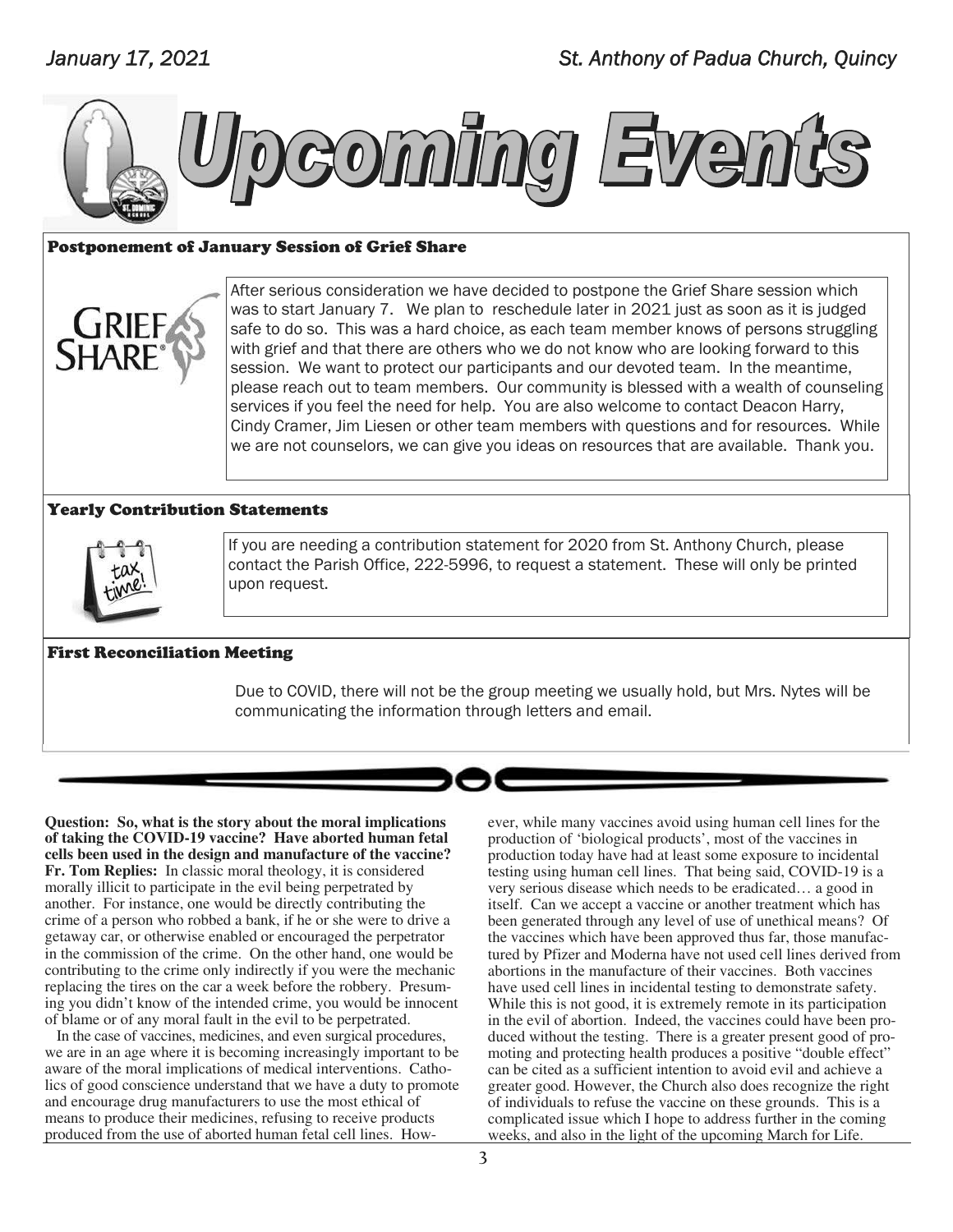

#### Postponement of January Session of Grief Share

After serious consideration we have decided to postpone the Grief Share session which was to start January 7. We plan to reschedule later in 2021 just as soon as it is judged safe to do so. This was a hard choice, as each team member knows of persons struggling with grief and that there are others who we do not know who are looking forward to this session. We want to protect our participants and our devoted team. In the meantime, please reach out to team members. Our community is blessed with a wealth of counseling services if you feel the need for help. You are also welcome to contact Deacon Harry, Cindy Cramer, Jim Liesen or other team members with questions and for resources. While we are not counselors, we can give you ideas on resources that are available. Thank you.

#### Yearly Contribution Statements



If you are needing a contribution statement for 2020 from St. Anthony Church, please contact the Parish Office, 222-5996, to request a statement. These will only be printed upon request.

#### First Reconciliation Meeting

Due to COVID, there will not be the group meeting we usually hold, but Mrs. Nytes will be communicating the information through letters and email.



**Question: So, what is the story about the moral implications of taking the COVID-19 vaccine? Have aborted human fetal cells been used in the design and manufacture of the vaccine? Fr. Tom Replies:** In classic moral theology, it is considered morally illicit to participate in the evil being perpetrated by another. For instance, one would be directly contributing the crime of a person who robbed a bank, if he or she were to drive a getaway car, or otherwise enabled or encouraged the perpetrator in the commission of the crime. On the other hand, one would be contributing to the crime only indirectly if you were the mechanic replacing the tires on the car a week before the robbery. Presuming you didn't know of the intended crime, you would be innocent of blame or of any moral fault in the evil to be perpetrated.

 In the case of vaccines, medicines, and even surgical procedures, we are in an age where it is becoming increasingly important to be aware of the moral implications of medical interventions. Catholics of good conscience understand that we have a duty to promote and encourage drug manufacturers to use the most ethical of means to produce their medicines, refusing to receive products produced from the use of aborted human fetal cell lines. However, while many vaccines avoid using human cell lines for the production of 'biological products', most of the vaccines in production today have had at least some exposure to incidental testing using human cell lines. That being said, COVID-19 is a very serious disease which needs to be eradicated… a good in itself. Can we accept a vaccine or another treatment which has been generated through any level of use of unethical means? Of the vaccines which have been approved thus far, those manufactured by Pfizer and Moderna have not used cell lines derived from abortions in the manufacture of their vaccines. Both vaccines have used cell lines in incidental testing to demonstrate safety. While this is not good, it is extremely remote in its participation in the evil of abortion. Indeed, the vaccines could have been produced without the testing. There is a greater present good of promoting and protecting health produces a positive "double effect" can be cited as a sufficient intention to avoid evil and achieve a greater good. However, the Church also does recognize the right of individuals to refuse the vaccine on these grounds. This is a complicated issue which I hope to address further in the coming weeks, and also in the light of the upcoming March for Life.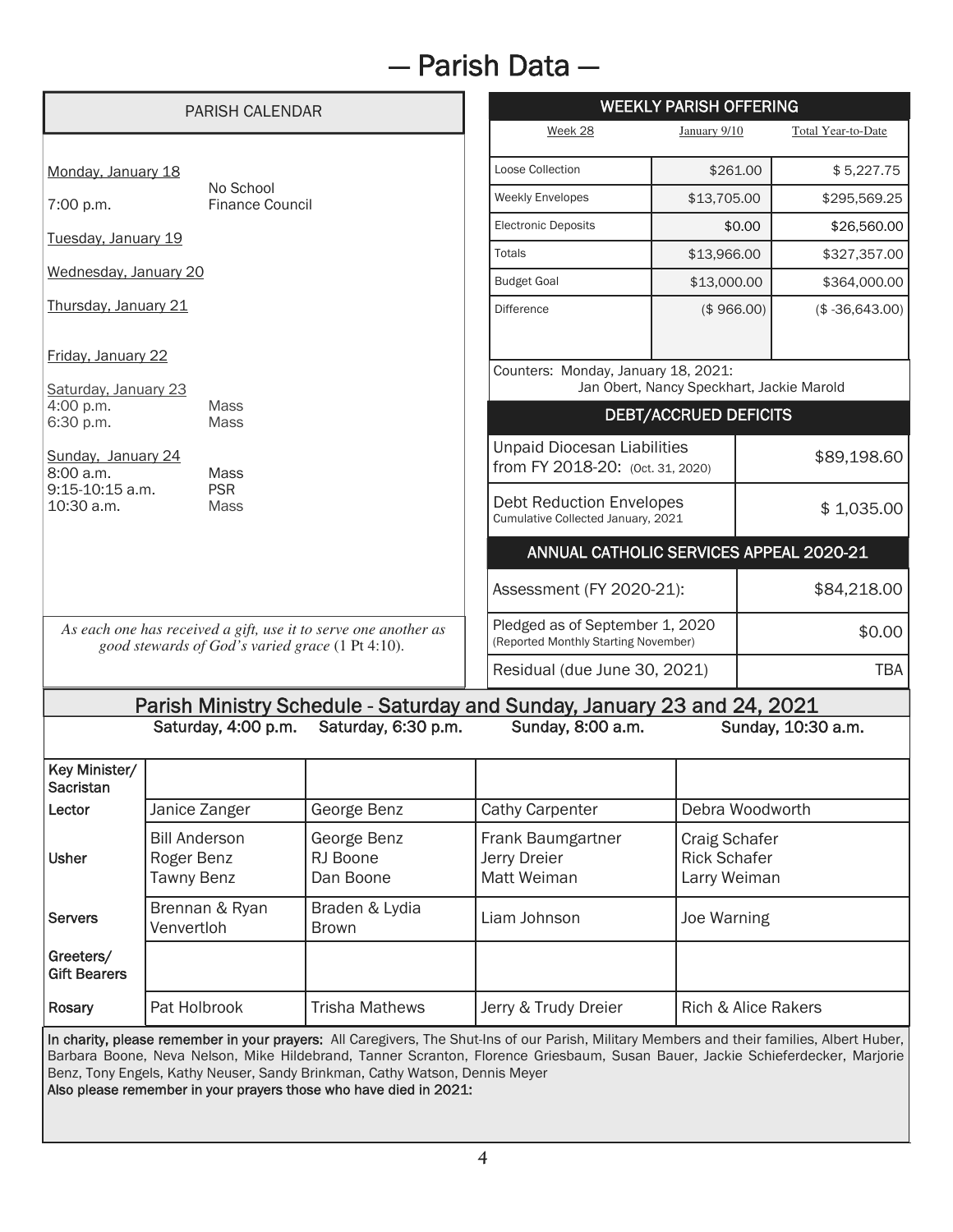# — Parish Data —

|                                                                                                                     | <b>PARISH CALENDAR</b>                                  |                                                                             | <b>WEEKLY PARISH OFFERING</b>                                                                                                                                                                                                                                                 |                                                                                   |                    |
|---------------------------------------------------------------------------------------------------------------------|---------------------------------------------------------|-----------------------------------------------------------------------------|-------------------------------------------------------------------------------------------------------------------------------------------------------------------------------------------------------------------------------------------------------------------------------|-----------------------------------------------------------------------------------|--------------------|
|                                                                                                                     |                                                         |                                                                             | Week 28                                                                                                                                                                                                                                                                       | January 9/10                                                                      | Total Year-to-Date |
| Monday, January 18                                                                                                  |                                                         |                                                                             | Loose Collection                                                                                                                                                                                                                                                              | \$261.00                                                                          | \$5,227.75         |
| No School<br><b>Finance Council</b><br>7:00 p.m.                                                                    |                                                         | <b>Weekly Envelopes</b>                                                     | \$13,705.00                                                                                                                                                                                                                                                                   | \$295,569.25                                                                      |                    |
| Tuesday, January 19                                                                                                 |                                                         |                                                                             | <b>Electronic Deposits</b>                                                                                                                                                                                                                                                    | \$0.00                                                                            | \$26,560.00        |
|                                                                                                                     |                                                         |                                                                             | Totals                                                                                                                                                                                                                                                                        | \$13,966.00                                                                       | \$327,357.00       |
| Wednesday, January 20                                                                                               |                                                         |                                                                             | <b>Budget Goal</b>                                                                                                                                                                                                                                                            | \$13,000.00                                                                       | \$364,000.00       |
| Thursday, January 21                                                                                                |                                                         |                                                                             | <b>Difference</b>                                                                                                                                                                                                                                                             | (\$966.00)                                                                        | $($-36,643.00)$    |
| Friday, January 22                                                                                                  |                                                         |                                                                             | Counters: Monday, January 18, 2021:                                                                                                                                                                                                                                           |                                                                                   |                    |
| Saturday, January 23<br>4:00 p.m.<br><b>Mass</b>                                                                    |                                                         |                                                                             | Jan Obert, Nancy Speckhart, Jackie Marold                                                                                                                                                                                                                                     |                                                                                   |                    |
| 6:30 p.m.<br><b>Mass</b>                                                                                            |                                                         |                                                                             | <b>DEBT/ACCRUED DEFICITS</b>                                                                                                                                                                                                                                                  |                                                                                   |                    |
| Sunday, January 24<br>8:00 a.m.                                                                                     | <b>Mass</b>                                             |                                                                             | <b>Unpaid Diocesan Liabilities</b><br>from FY 2018-20: (Oct. 31, 2020)                                                                                                                                                                                                        |                                                                                   | \$89,198.60        |
| 9:15-10:15 a.m.<br><b>PSR</b><br>10:30 a.m.<br><b>Mass</b>                                                          |                                                         |                                                                             | <b>Debt Reduction Envelopes</b><br>Cumulative Collected January, 2021                                                                                                                                                                                                         |                                                                                   | \$1,035.00         |
|                                                                                                                     |                                                         |                                                                             | ANNUAL CATHOLIC SERVICES APPEAL 2020-21                                                                                                                                                                                                                                       |                                                                                   |                    |
|                                                                                                                     |                                                         |                                                                             |                                                                                                                                                                                                                                                                               | \$84,218.00<br>Assessment (FY 2020-21):                                           |                    |
| As each one has received a gift, use it to serve one another as<br>good stewards of God's varied grace (1 Pt 4:10). |                                                         |                                                                             |                                                                                                                                                                                                                                                                               | Pledged as of September 1, 2020<br>\$0.00<br>(Reported Monthly Starting November) |                    |
|                                                                                                                     |                                                         |                                                                             | Residual (due June 30, 2021)                                                                                                                                                                                                                                                  |                                                                                   |                    |
|                                                                                                                     |                                                         |                                                                             | Parish Ministry Schedule - Saturday and Sunday, January 23 and 24, 2021                                                                                                                                                                                                       |                                                                                   |                    |
| Saturday, 4:00 p.m.<br>Saturday, 6:30 p.m.<br>Sunday, 8:00 a.m.                                                     |                                                         |                                                                             |                                                                                                                                                                                                                                                                               |                                                                                   | Sunday, 10:30 a.m. |
| Key Minister/<br><b>Sacristan</b>                                                                                   |                                                         |                                                                             |                                                                                                                                                                                                                                                                               |                                                                                   |                    |
| Lector                                                                                                              | Janice Zanger                                           | George Benz                                                                 | Cathy Carpenter                                                                                                                                                                                                                                                               | Debra Woodworth                                                                   |                    |
| <b>Usher</b>                                                                                                        | <b>Bill Anderson</b><br>Roger Benz<br><b>Tawny Benz</b> | George Benz<br>RJ Boone<br>Dan Boone                                        | Frank Baumgartner<br>Jerry Dreier<br>Matt Weiman                                                                                                                                                                                                                              | Craig Schafer<br><b>Rick Schafer</b><br>Larry Weiman                              |                    |
| <b>Servers</b>                                                                                                      | Brennan & Ryan<br>Venvertloh                            | Braden & Lydia<br><b>Brown</b>                                              | Liam Johnson                                                                                                                                                                                                                                                                  | Joe Warning                                                                       |                    |
| Greeters/<br><b>Gift Bearers</b>                                                                                    |                                                         |                                                                             |                                                                                                                                                                                                                                                                               |                                                                                   |                    |
| Rosary                                                                                                              | Pat Holbrook                                            | <b>Trisha Mathews</b>                                                       | Jerry & Trudy Dreier                                                                                                                                                                                                                                                          | <b>Rich &amp; Alice Rakers</b>                                                    |                    |
|                                                                                                                     |                                                         | Benz, Tony Engels, Kathy Neuser, Sandy Brinkman, Cathy Watson, Dennis Meyer | In charity, please remember in your prayers: All Caregivers, The Shut-Ins of our Parish, Military Members and their families, Albert Huber,<br>Barbara Boone, Neva Nelson, Mike Hildebrand, Tanner Scranton, Florence Griesbaum, Susan Bauer, Jackie Schieferdecker, Marjorie |                                                                                   |                    |

Also please remember in your prayers those who have died in 2021: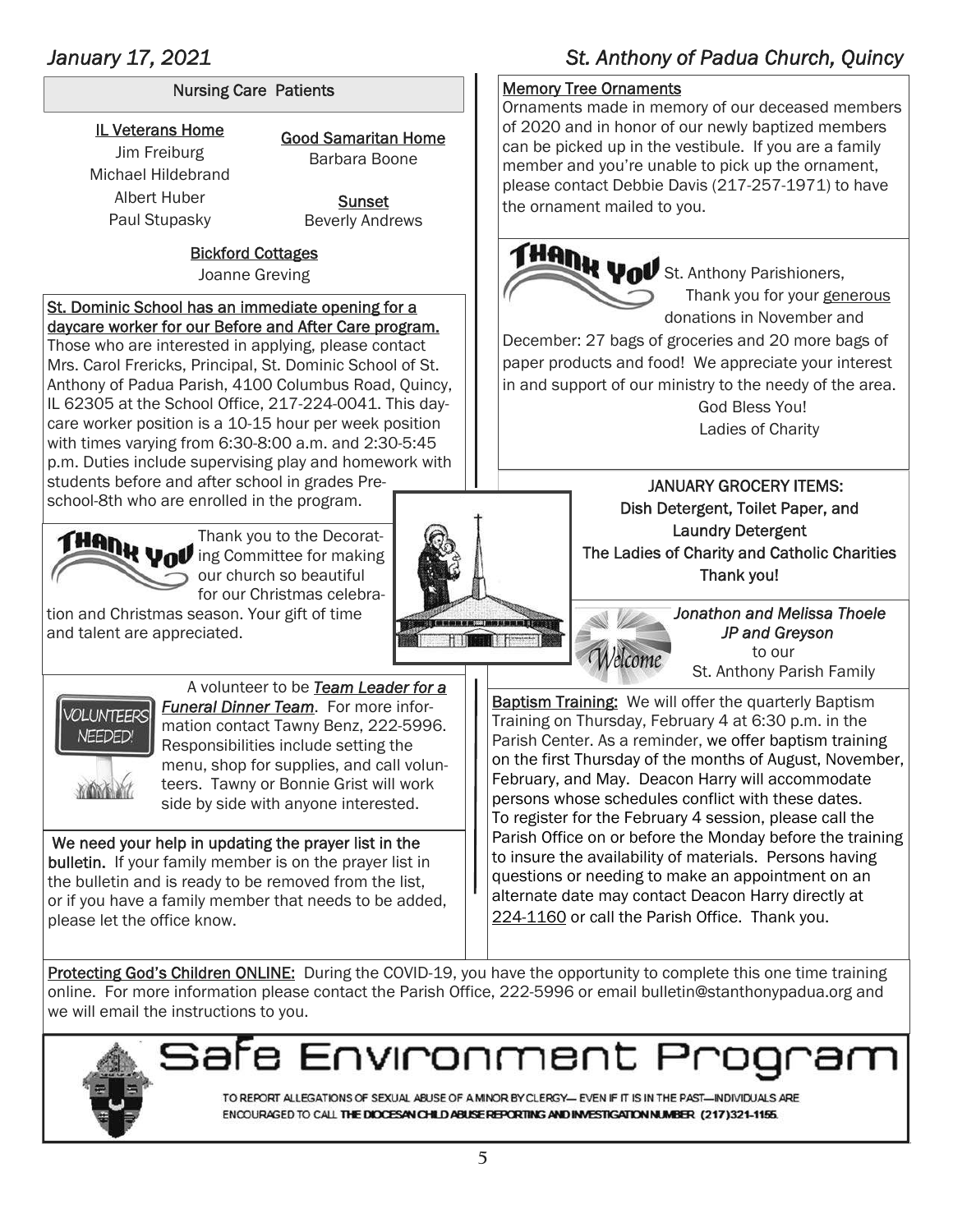## January 17, 2021 **St. Anthony of Padua Church, Quincy** St. Anthony of Padua Church, Quincy

#### Nursing Care Patients

IL Veterans Home Jim Freiburg Michael Hildebrand Albert Huber Paul Stupasky

Good Samaritan Home Barbara Boone

> **Sunset** Beverly Andrews

## Bickford Cottages

Joanne Greving

#### St. Dominic School has an immediate opening for a daycare worker for our Before and After Care program.

Those who are interested in applying, please contact Mrs. Carol Frericks, Principal, St. Dominic School of St. Anthony of Padua Parish, 4100 Columbus Road, Quincy, IL 62305 at the School Office, 217-224-0041. This daycare worker position is a 10-15 hour per week position with times varying from 6:30-8:00 a.m. and 2:30-5:45 p.m. Duties include supervising play and homework with students before and after school in grades Preschool-8th who are enrolled in the program.

Thank you to the Decorating Committee for making our church so beautiful for our Christmas celebra-

tion and Christmas season. Your gift of time and talent are appreciated.





 A volunteer to be *Team Leader for a Funeral Dinner Team*. For more information contact Tawny Benz, 222-5996. Responsibilities include setting the menu, shop for supplies, and call volunteers. Tawny or Bonnie Grist will work side by side with anyone interested.

 We need your help in updating the prayer list in the bulletin. If your family member is on the prayer list in the bulletin and is ready to be removed from the list, or if you have a family member that needs to be added, please let the office know.

Baptism Training: We will offer the quarterly Baptism Training on Thursday, February 4 at 6:30 p.m. in the Parish Center. As a reminder, we offer baptism training on the first Thursday of the months of August, November, February, and May. Deacon Harry will accommodate persons whose schedules conflict with these dates. To register for the February 4 session, please call the Parish Office on or before the Monday before the training to insure the availability of materials. Persons having questions or needing to make an appointment on an alternate date may contact Deacon Harry directly at 224-1160 or call the Parish Office. Thank you.

Protecting God's Children ONLINE: During the COVID-19, you have the opportunity to complete this one time training online. For more information please contact the Parish Office, 222-5996 or email bulletin@stanthonypadua.org and we will email the instructions to you.



afe Environment Pr

TO REPORT ALLEGATIONS OF SEXUAL ABUSE OF A MINOR BY CLERGY- EVEN IF IT IS IN THE PAST-INDIVIDUALS ARE ENCOURAGED TO CALL THE DIOCESAN CHILD ABUSE REPORTING AND INVESTIGATION NUMBER (217)321-1155.

## Memory Tree Ornaments

Ornaments made in memory of our deceased members of 2020 and in honor of our newly baptized members can be picked up in the vestibule. If you are a family member and you're unable to pick up the ornament, please contact Debbie Davis (217-257-1971) to have the ornament mailed to you.



 Thank you for your generous donations in November and

December: 27 bags of groceries and 20 more bags of paper products and food! We appreciate your interest in and support of our ministry to the needy of the area.

> God Bless You! Ladies of Charity

 JANUARY GROCERY ITEMS: Dish Detergent, Toilet Paper, and Laundry Detergent The Ladies of Charity and Catholic Charities Thank you!

> *Jonathon and Melissa Thoele JP and Greyson*  to our St. Anthony Parish Family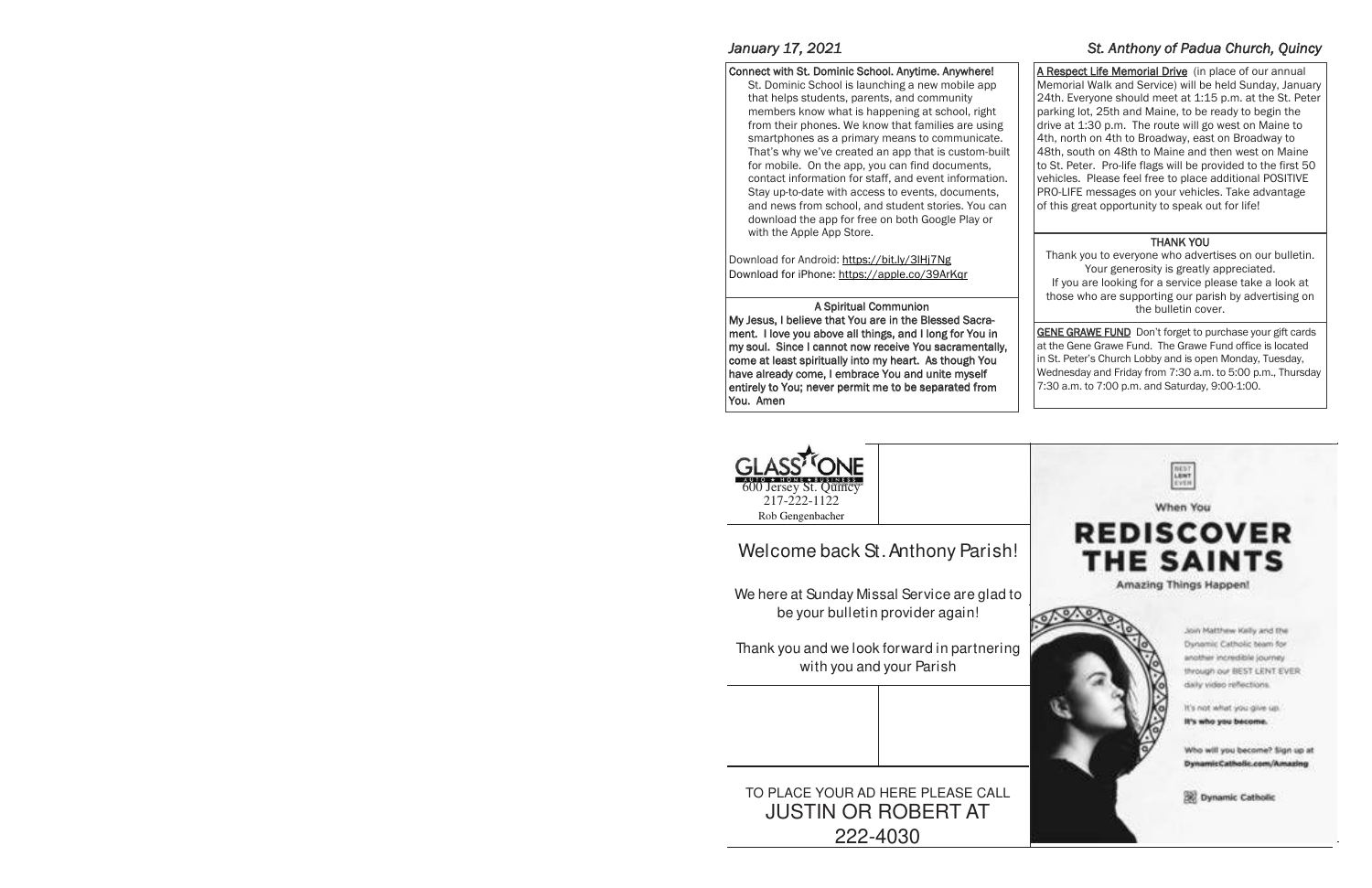#### Connect with St. Dominic School. Anytime. Anywhere!

St. Dominic School is launching a new mobile app that helps students, parents, and community members know what is happening at school, right from their phones. We know that families are using smartphones as a primary means to communicate. That's why we've created an app that is custom-built for mobile. On the app, you can find documents, contact information for staff, and event information. Stay up-to-date with access to events, documents, and news from school, and student stories. You can download the app for free on both Google Play or with the Apple App Store.

Download for Android: https://bit.ly/3lHj7Ng Download for iPhone: https://apple.co/39ArKqr

### A Spiritual Communion

My Jesus, I believe that You are in the Blessed Sacrament. I love you above all things, and I long for You in my soul. Since I cannot now receive You sacramentally, come at least spiritually into myheart. As though You have already come, I embrace You and unite myself entirely to You; never permit me to be separated from You. Amen

## *January 17, 2021* St. Anthony of Padua Church, Quincy *St. Anthony of Padua Church, Quincy*

A Respect Life Memorial Drive (in place of our annual Memorial Walk and Service) will be held Sunday, January 24th. Everyone should meet at 1:15 p.m. at the St. Peter parking lot, 25th and Maine, to be ready to begin the drive at 1:30 p.m. The route will go west on Maine to 4th, north on 4th to Broadway, east on Broadway to 48th, south on 48th to Maine and then west on Maine to St. Peter. Pro-life flags will be provided to the first 50 vehicles. Please feel free to place additional POSITIVE PRO-LIFE messages on your vehicles. Take advantage of this great opportunity to speak out for life!

### THANK YOU

Thank you to everyone who advertises on our bulletin. Your generosity is greatly appreciated. If you are looking for a service please take a look at those who are supporting our parish by advertising on the bulletin cover.

**GENE GRAWE FUND** Don't forget to purchase your gift cards at the Gene Grawe Fund. The Grawe Fund office is located in St. Peter's Church Lobby and is open Monday, Tuesday, Wednesday and Friday from 7:30 a.m. to 5:00 p.m., Thursday 7:30 a.m. to 7:00 p.m. and Saturday, 9:00-1:00.



# Welcome back St. Anthony Parish!

We here at Sunday Missal Service are glad to be your bulletin provider again!

Thank you and we look forward in partnering with you and your Parish

## TO PLACE YOUR AD HERE PLEASE CALL JUSTIN OR ROBERT AT 222-4030





Join Matthew Kelly and the Dynamic Catholic team for wother incredible journey through our BEST LENT EVER dally video reflections.

It's nick what you give up. It's who you become.

Who will you become? Sign up at DynamicCatholic.com/Amazing

**Bill Dynamic Catholic**